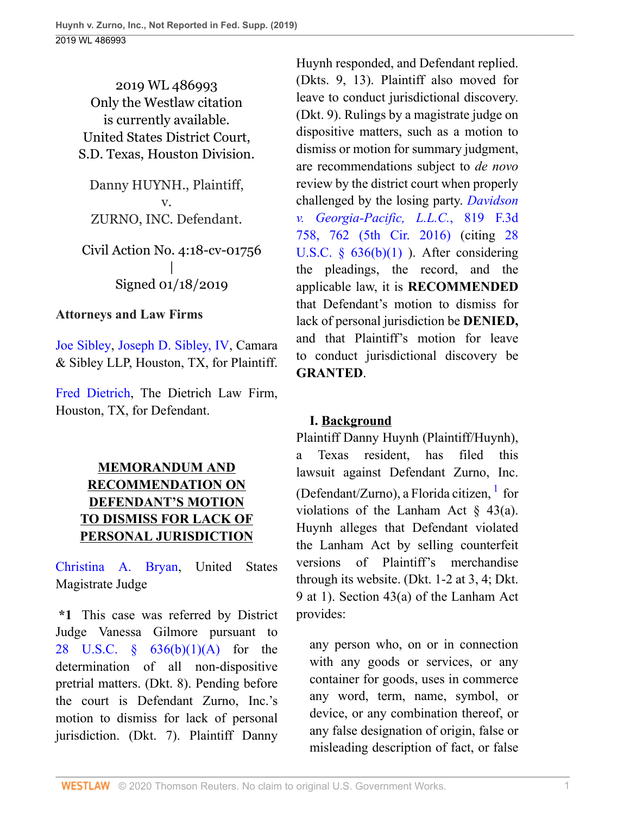2019 WL 486993 Only the Westlaw citation is currently available. United States District Court, S.D. Texas, Houston Division.

Danny HUYNH., Plaintiff, v. ZURNO, INC. Defendant.

Civil Action No. 4:18-cv-01756 | Signed 01/18/2019

#### **Attorneys and Law Firms**

[Joe Sibley](http://www.westlaw.com/Link/Document/FullText?findType=h&pubNum=176284&cite=0374224201&originatingDoc=I891817902ba011e9bc469b767245e66a&refType=RQ&originationContext=document&vr=3.0&rs=cblt1.0&transitionType=DocumentItem&contextData=(sc.UserEnteredCitation)), [Joseph D. Sibley, IV,](http://www.westlaw.com/Link/Document/FullText?findType=h&pubNum=176284&cite=0374224201&originatingDoc=I891817902ba011e9bc469b767245e66a&refType=RQ&originationContext=document&vr=3.0&rs=cblt1.0&transitionType=DocumentItem&contextData=(sc.UserEnteredCitation)) Camara & Sibley LLP, Houston, TX, for Plaintiff.

[Fred Dietrich,](http://www.westlaw.com/Link/Document/FullText?findType=h&pubNum=176284&cite=0302315701&originatingDoc=I891817902ba011e9bc469b767245e66a&refType=RQ&originationContext=document&vr=3.0&rs=cblt1.0&transitionType=DocumentItem&contextData=(sc.UserEnteredCitation)) The Dietrich Law Firm, Houston, TX, for Defendant.

# **MEMORANDUM AND RECOMMENDATION ON DEFENDANT'S MOTION TO DISMISS FOR LACK OF PERSONAL JURISDICTION**

[Christina A. Bryan](http://www.westlaw.com/Link/Document/FullText?findType=h&pubNum=176284&cite=0506689201&originatingDoc=I891817902ba011e9bc469b767245e66a&refType=RQ&originationContext=document&vr=3.0&rs=cblt1.0&transitionType=DocumentItem&contextData=(sc.UserEnteredCitation)), United States Magistrate Judge

**\*1** This case was referred by District Judge Vanessa Gilmore pursuant to [28 U.S.C. § 636\(b\)\(1\)\(A\)](http://www.westlaw.com/Link/Document/FullText?findType=L&pubNum=1000546&cite=28USCAS636&originatingDoc=I891817902ba011e9bc469b767245e66a&refType=RB&originationContext=document&vr=3.0&rs=cblt1.0&transitionType=DocumentItem&contextData=(sc.UserEnteredCitation)#co_pp_8b16000077793) for the determination of all non-dispositive pretrial matters. (Dkt. 8). Pending before the court is Defendant Zurno, Inc.'s motion to dismiss for lack of personal jurisdiction. (Dkt. 7). Plaintiff Danny

Huynh responded, and Defendant replied. (Dkts. 9, 13). Plaintiff also moved for leave to conduct jurisdictional discovery. (Dkt. 9). Rulings by a magistrate judge on dispositive matters, such as a motion to dismiss or motion for summary judgment, are recommendations subject to *de novo* review by the district court when properly challenged by the losing party. *[Davidson](http://www.westlaw.com/Link/Document/FullText?findType=Y&serNum=2038692576&pubNum=0000506&originatingDoc=I891817902ba011e9bc469b767245e66a&refType=RP&fi=co_pp_sp_506_762&originationContext=document&vr=3.0&rs=cblt1.0&transitionType=DocumentItem&contextData=(sc.UserEnteredCitation)#co_pp_sp_506_762) [v. Georgia-Pacific, L.L.C.](http://www.westlaw.com/Link/Document/FullText?findType=Y&serNum=2038692576&pubNum=0000506&originatingDoc=I891817902ba011e9bc469b767245e66a&refType=RP&fi=co_pp_sp_506_762&originationContext=document&vr=3.0&rs=cblt1.0&transitionType=DocumentItem&contextData=(sc.UserEnteredCitation)#co_pp_sp_506_762)*, 819 F.3d [758, 762 \(5th Cir. 2016\)](http://www.westlaw.com/Link/Document/FullText?findType=Y&serNum=2038692576&pubNum=0000506&originatingDoc=I891817902ba011e9bc469b767245e66a&refType=RP&fi=co_pp_sp_506_762&originationContext=document&vr=3.0&rs=cblt1.0&transitionType=DocumentItem&contextData=(sc.UserEnteredCitation)#co_pp_sp_506_762) (citing [28](http://www.westlaw.com/Link/Document/FullText?findType=L&pubNum=1000546&cite=28USCAS636&originatingDoc=I891817902ba011e9bc469b767245e66a&refType=RB&originationContext=document&vr=3.0&rs=cblt1.0&transitionType=DocumentItem&contextData=(sc.UserEnteredCitation)#co_pp_3fed000053a85) U.S.C.  $\S$  636(b)(1)). After considering the pleadings, the record, and the applicable law, it is **RECOMMENDED** that Defendant's motion to dismiss for lack of personal jurisdiction be **DENIED,** and that Plaintiff's motion for leave to conduct jurisdictional discovery be **GRANTED**.

### <span id="page-0-0"></span>**I. Background**

Plaintiff Danny Huynh (Plaintiff/Huynh), a Texas resident, has filed this lawsuit against Defendant Zurno, Inc. (Defendant/Zurno), a Florida citizen, <sup>[1](#page-1-0)</sup> for violations of the Lanham Act  $\S$  43(a). Huynh alleges that Defendant violated the Lanham Act by selling counterfeit versions of Plaintiff's merchandise through its website. (Dkt. 1-2 at 3, 4; Dkt. 9 at 1). Section 43(a) of the Lanham Act provides:

any person who, on or in connection with any goods or services, or any container for goods, uses in commerce any word, term, name, symbol, or device, or any combination thereof, or any false designation of origin, false or misleading description of fact, or false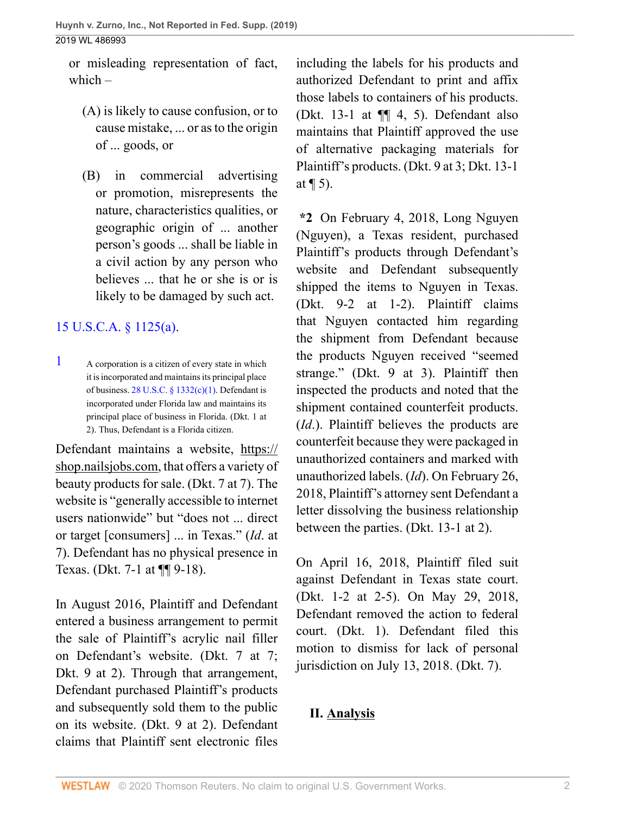or misleading representation of fact, which  $-$ 

- (A) is likely to cause confusion, or to cause mistake, ... or as to the origin of ... goods, or
- (B) in commercial advertising or promotion, misrepresents the nature, characteristics qualities, or geographic origin of ... another person's goods ... shall be liable in a civil action by any person who believes ... that he or she is or is likely to be damaged by such act.

# [15 U.S.C.A. § 1125\(a\).](http://www.westlaw.com/Link/Document/FullText?findType=L&pubNum=1000546&cite=15USCAS1125&originatingDoc=I891817902ba011e9bc469b767245e66a&refType=RB&originationContext=document&vr=3.0&rs=cblt1.0&transitionType=DocumentItem&contextData=(sc.UserEnteredCitation)#co_pp_8b3b0000958a4)

<span id="page-1-0"></span>[1](#page-0-0) A corporation is a citizen of every state in which it is incorporated and maintains its principal place of business.  $28$  U.S.C. § 1332(c)(1). Defendant is incorporated under Florida law and maintains its principal place of business in Florida. (Dkt. 1 at 2). Thus, Defendant is a Florida citizen.

Defendant maintains a website, https:// shop.nailsjobs.com, that offers a variety of beauty products for sale. (Dkt. 7 at 7). The website is "generally accessible to internet users nationwide" but "does not ... direct or target [consumers] ... in Texas." (*Id*. at 7). Defendant has no physical presence in Texas. (Dkt. 7-1 at ¶¶ 9-18).

In August 2016, Plaintiff and Defendant entered a business arrangement to permit the sale of Plaintiff's acrylic nail filler on Defendant's website. (Dkt. 7 at 7; Dkt. 9 at 2). Through that arrangement, Defendant purchased Plaintiff's products and subsequently sold them to the public on its website. (Dkt. 9 at 2). Defendant claims that Plaintiff sent electronic files including the labels for his products and authorized Defendant to print and affix those labels to containers of his products. (Dkt. 13-1 at  $\P$  $\parallel$  4, 5). Defendant also maintains that Plaintiff approved the use of alternative packaging materials for Plaintiff's products. (Dkt. 9 at 3; Dkt. 13-1 at  $\P$  5).

**\*2** On February 4, 2018, Long Nguyen (Nguyen), a Texas resident, purchased Plaintiff's products through Defendant's website and Defendant subsequently shipped the items to Nguyen in Texas. (Dkt. 9-2 at 1-2). Plaintiff claims that Nguyen contacted him regarding the shipment from Defendant because the products Nguyen received "seemed strange." (Dkt. 9 at 3). Plaintiff then inspected the products and noted that the shipment contained counterfeit products. (*Id*.). Plaintiff believes the products are counterfeit because they were packaged in unauthorized containers and marked with unauthorized labels. (*Id*). On February 26, 2018, Plaintiff's attorney sent Defendant a letter dissolving the business relationship between the parties. (Dkt. 13-1 at 2).

On April 16, 2018, Plaintiff filed suit against Defendant in Texas state court. (Dkt. 1-2 at 2-5). On May 29, 2018, Defendant removed the action to federal court. (Dkt. 1). Defendant filed this motion to dismiss for lack of personal jurisdiction on July 13, 2018. (Dkt. 7).

# **II. Analysis**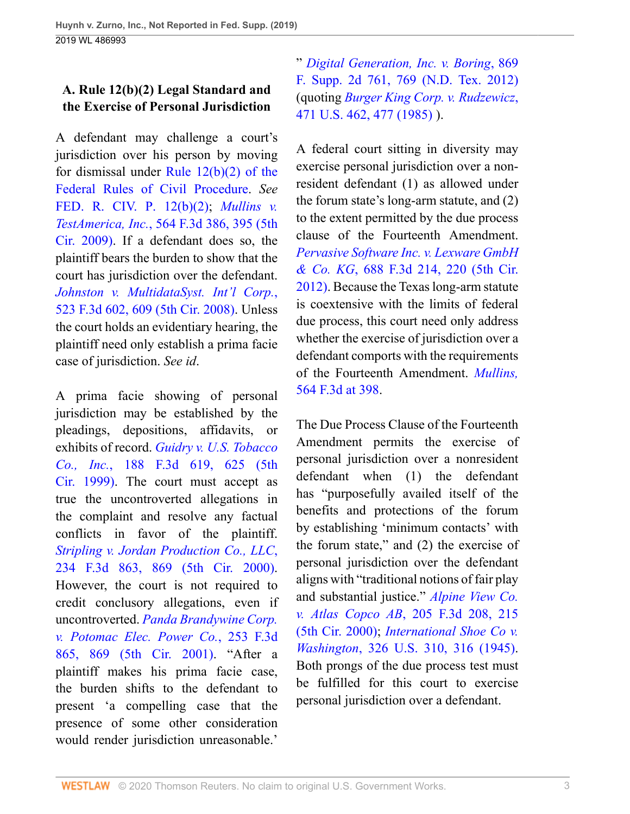# **A. Rule 12(b)(2) Legal Standard and the Exercise of Personal Jurisdiction**

A defendant may challenge a court's jurisdiction over his person by moving for dismissal under [Rule 12\(b\)\(2\) of the](http://www.westlaw.com/Link/Document/FullText?findType=L&pubNum=1000600&cite=USFRCPR12&originatingDoc=I891817902ba011e9bc469b767245e66a&refType=LQ&originationContext=document&vr=3.0&rs=cblt1.0&transitionType=DocumentItem&contextData=(sc.UserEnteredCitation)) [Federal Rules of Civil Procedure](http://www.westlaw.com/Link/Document/FullText?findType=L&pubNum=1000600&cite=USFRCPR12&originatingDoc=I891817902ba011e9bc469b767245e66a&refType=LQ&originationContext=document&vr=3.0&rs=cblt1.0&transitionType=DocumentItem&contextData=(sc.UserEnteredCitation)). *See* [FED. R. CIV. P. 12\(b\)\(2\);](http://www.westlaw.com/Link/Document/FullText?findType=L&pubNum=1000600&cite=USFRCPR12&originatingDoc=I891817902ba011e9bc469b767245e66a&refType=LQ&originationContext=document&vr=3.0&rs=cblt1.0&transitionType=DocumentItem&contextData=(sc.UserEnteredCitation)) *[Mullins v.](http://www.westlaw.com/Link/Document/FullText?findType=Y&serNum=2018495078&pubNum=0000506&originatingDoc=I891817902ba011e9bc469b767245e66a&refType=RP&fi=co_pp_sp_506_395&originationContext=document&vr=3.0&rs=cblt1.0&transitionType=DocumentItem&contextData=(sc.UserEnteredCitation)#co_pp_sp_506_395) TestAmerica, Inc.*[, 564 F.3d 386, 395 \(5th](http://www.westlaw.com/Link/Document/FullText?findType=Y&serNum=2018495078&pubNum=0000506&originatingDoc=I891817902ba011e9bc469b767245e66a&refType=RP&fi=co_pp_sp_506_395&originationContext=document&vr=3.0&rs=cblt1.0&transitionType=DocumentItem&contextData=(sc.UserEnteredCitation)#co_pp_sp_506_395) [Cir. 2009\).](http://www.westlaw.com/Link/Document/FullText?findType=Y&serNum=2018495078&pubNum=0000506&originatingDoc=I891817902ba011e9bc469b767245e66a&refType=RP&fi=co_pp_sp_506_395&originationContext=document&vr=3.0&rs=cblt1.0&transitionType=DocumentItem&contextData=(sc.UserEnteredCitation)#co_pp_sp_506_395) If a defendant does so, the plaintiff bears the burden to show that the court has jurisdiction over the defendant. *[Johnston v. MultidataSyst. Int'l Corp.](http://www.westlaw.com/Link/Document/FullText?findType=Y&serNum=2015726700&pubNum=0000506&originatingDoc=I891817902ba011e9bc469b767245e66a&refType=RP&fi=co_pp_sp_506_609&originationContext=document&vr=3.0&rs=cblt1.0&transitionType=DocumentItem&contextData=(sc.UserEnteredCitation)#co_pp_sp_506_609)*, [523 F.3d 602, 609 \(5th Cir. 2008\)](http://www.westlaw.com/Link/Document/FullText?findType=Y&serNum=2015726700&pubNum=0000506&originatingDoc=I891817902ba011e9bc469b767245e66a&refType=RP&fi=co_pp_sp_506_609&originationContext=document&vr=3.0&rs=cblt1.0&transitionType=DocumentItem&contextData=(sc.UserEnteredCitation)#co_pp_sp_506_609). Unless the court holds an evidentiary hearing, the plaintiff need only establish a prima facie case of jurisdiction. *See id*.

A prima facie showing of personal jurisdiction may be established by the pleadings, depositions, affidavits, or exhibits of record. *[Guidry v. U.S. Tobacco](http://www.westlaw.com/Link/Document/FullText?findType=Y&serNum=1999211491&pubNum=0000506&originatingDoc=I891817902ba011e9bc469b767245e66a&refType=RP&fi=co_pp_sp_506_625&originationContext=document&vr=3.0&rs=cblt1.0&transitionType=DocumentItem&contextData=(sc.UserEnteredCitation)#co_pp_sp_506_625) Co., Inc.*[, 188 F.3d 619, 625 \(5th](http://www.westlaw.com/Link/Document/FullText?findType=Y&serNum=1999211491&pubNum=0000506&originatingDoc=I891817902ba011e9bc469b767245e66a&refType=RP&fi=co_pp_sp_506_625&originationContext=document&vr=3.0&rs=cblt1.0&transitionType=DocumentItem&contextData=(sc.UserEnteredCitation)#co_pp_sp_506_625) [Cir. 1999\)](http://www.westlaw.com/Link/Document/FullText?findType=Y&serNum=1999211491&pubNum=0000506&originatingDoc=I891817902ba011e9bc469b767245e66a&refType=RP&fi=co_pp_sp_506_625&originationContext=document&vr=3.0&rs=cblt1.0&transitionType=DocumentItem&contextData=(sc.UserEnteredCitation)#co_pp_sp_506_625). The court must accept as true the uncontroverted allegations in the complaint and resolve any factual conflicts in favor of the plaintiff. *[Stripling v. Jordan Production Co., LLC](http://www.westlaw.com/Link/Document/FullText?findType=Y&serNum=2000628372&pubNum=0000506&originatingDoc=I891817902ba011e9bc469b767245e66a&refType=RP&fi=co_pp_sp_506_869&originationContext=document&vr=3.0&rs=cblt1.0&transitionType=DocumentItem&contextData=(sc.UserEnteredCitation)#co_pp_sp_506_869)*, [234 F.3d 863, 869 \(5th Cir. 2000\).](http://www.westlaw.com/Link/Document/FullText?findType=Y&serNum=2000628372&pubNum=0000506&originatingDoc=I891817902ba011e9bc469b767245e66a&refType=RP&fi=co_pp_sp_506_869&originationContext=document&vr=3.0&rs=cblt1.0&transitionType=DocumentItem&contextData=(sc.UserEnteredCitation)#co_pp_sp_506_869) However, the court is not required to credit conclusory allegations, even if uncontroverted. *[Panda Brandywine Corp.](http://www.westlaw.com/Link/Document/FullText?findType=Y&serNum=2001499927&pubNum=0000506&originatingDoc=I891817902ba011e9bc469b767245e66a&refType=RP&fi=co_pp_sp_506_869&originationContext=document&vr=3.0&rs=cblt1.0&transitionType=DocumentItem&contextData=(sc.UserEnteredCitation)#co_pp_sp_506_869) [v. Potomac Elec. Power Co.](http://www.westlaw.com/Link/Document/FullText?findType=Y&serNum=2001499927&pubNum=0000506&originatingDoc=I891817902ba011e9bc469b767245e66a&refType=RP&fi=co_pp_sp_506_869&originationContext=document&vr=3.0&rs=cblt1.0&transitionType=DocumentItem&contextData=(sc.UserEnteredCitation)#co_pp_sp_506_869)*, 253 F.3d [865, 869 \(5th Cir. 2001\)](http://www.westlaw.com/Link/Document/FullText?findType=Y&serNum=2001499927&pubNum=0000506&originatingDoc=I891817902ba011e9bc469b767245e66a&refType=RP&fi=co_pp_sp_506_869&originationContext=document&vr=3.0&rs=cblt1.0&transitionType=DocumentItem&contextData=(sc.UserEnteredCitation)#co_pp_sp_506_869). "After a plaintiff makes his prima facie case, the burden shifts to the defendant to present 'a compelling case that the presence of some other consideration would render jurisdiction unreasonable.'

" *[Digital Generation, Inc. v. Boring](http://www.westlaw.com/Link/Document/FullText?findType=Y&serNum=2027560950&pubNum=0004637&originatingDoc=I891817902ba011e9bc469b767245e66a&refType=RP&fi=co_pp_sp_4637_769&originationContext=document&vr=3.0&rs=cblt1.0&transitionType=DocumentItem&contextData=(sc.UserEnteredCitation)#co_pp_sp_4637_769)*, 869 [F. Supp. 2d 761, 769 \(N.D. Tex. 2012\)](http://www.westlaw.com/Link/Document/FullText?findType=Y&serNum=2027560950&pubNum=0004637&originatingDoc=I891817902ba011e9bc469b767245e66a&refType=RP&fi=co_pp_sp_4637_769&originationContext=document&vr=3.0&rs=cblt1.0&transitionType=DocumentItem&contextData=(sc.UserEnteredCitation)#co_pp_sp_4637_769) (quoting *[Burger King Corp. v. Rudzewicz](http://www.westlaw.com/Link/Document/FullText?findType=Y&serNum=1985125841&pubNum=0000780&originatingDoc=I891817902ba011e9bc469b767245e66a&refType=RP&fi=co_pp_sp_780_477&originationContext=document&vr=3.0&rs=cblt1.0&transitionType=DocumentItem&contextData=(sc.UserEnteredCitation)#co_pp_sp_780_477)*, [471 U.S. 462, 477 \(1985\)](http://www.westlaw.com/Link/Document/FullText?findType=Y&serNum=1985125841&pubNum=0000780&originatingDoc=I891817902ba011e9bc469b767245e66a&refType=RP&fi=co_pp_sp_780_477&originationContext=document&vr=3.0&rs=cblt1.0&transitionType=DocumentItem&contextData=(sc.UserEnteredCitation)#co_pp_sp_780_477) ).

A federal court sitting in diversity may exercise personal jurisdiction over a nonresident defendant (1) as allowed under the forum state's long-arm statute, and (2) to the extent permitted by the due process clause of the Fourteenth Amendment. *[Pervasive Software Inc. v. Lexware GmbH](http://www.westlaw.com/Link/Document/FullText?findType=Y&serNum=2028247227&pubNum=0000506&originatingDoc=I891817902ba011e9bc469b767245e66a&refType=RP&fi=co_pp_sp_506_220&originationContext=document&vr=3.0&rs=cblt1.0&transitionType=DocumentItem&contextData=(sc.UserEnteredCitation)#co_pp_sp_506_220) & Co. KG*[, 688 F.3d 214, 220 \(5th Cir.](http://www.westlaw.com/Link/Document/FullText?findType=Y&serNum=2028247227&pubNum=0000506&originatingDoc=I891817902ba011e9bc469b767245e66a&refType=RP&fi=co_pp_sp_506_220&originationContext=document&vr=3.0&rs=cblt1.0&transitionType=DocumentItem&contextData=(sc.UserEnteredCitation)#co_pp_sp_506_220) [2012\)](http://www.westlaw.com/Link/Document/FullText?findType=Y&serNum=2028247227&pubNum=0000506&originatingDoc=I891817902ba011e9bc469b767245e66a&refType=RP&fi=co_pp_sp_506_220&originationContext=document&vr=3.0&rs=cblt1.0&transitionType=DocumentItem&contextData=(sc.UserEnteredCitation)#co_pp_sp_506_220). Because the Texas long-arm statute is coextensive with the limits of federal due process, this court need only address whether the exercise of jurisdiction over a defendant comports with the requirements of the Fourteenth Amendment. *[Mullins,](http://www.westlaw.com/Link/Document/FullText?findType=Y&serNum=2018495078&pubNum=0000506&originatingDoc=I891817902ba011e9bc469b767245e66a&refType=RP&fi=co_pp_sp_506_398&originationContext=document&vr=3.0&rs=cblt1.0&transitionType=DocumentItem&contextData=(sc.UserEnteredCitation)#co_pp_sp_506_398)* [564 F.3d at 398.](http://www.westlaw.com/Link/Document/FullText?findType=Y&serNum=2018495078&pubNum=0000506&originatingDoc=I891817902ba011e9bc469b767245e66a&refType=RP&fi=co_pp_sp_506_398&originationContext=document&vr=3.0&rs=cblt1.0&transitionType=DocumentItem&contextData=(sc.UserEnteredCitation)#co_pp_sp_506_398)

The Due Process Clause of the Fourteenth Amendment permits the exercise of personal jurisdiction over a nonresident defendant when (1) the defendant has "purposefully availed itself of the benefits and protections of the forum by establishing 'minimum contacts' with the forum state," and (2) the exercise of personal jurisdiction over the defendant aligns with "traditional notions of fair play and substantial justice." *[Alpine View Co.](http://www.westlaw.com/Link/Document/FullText?findType=Y&serNum=2000063465&pubNum=0000506&originatingDoc=I891817902ba011e9bc469b767245e66a&refType=RP&fi=co_pp_sp_506_215&originationContext=document&vr=3.0&rs=cblt1.0&transitionType=DocumentItem&contextData=(sc.UserEnteredCitation)#co_pp_sp_506_215) v. Atlas Copco AB*[, 205 F.3d 208, 215](http://www.westlaw.com/Link/Document/FullText?findType=Y&serNum=2000063465&pubNum=0000506&originatingDoc=I891817902ba011e9bc469b767245e66a&refType=RP&fi=co_pp_sp_506_215&originationContext=document&vr=3.0&rs=cblt1.0&transitionType=DocumentItem&contextData=(sc.UserEnteredCitation)#co_pp_sp_506_215) [\(5th Cir. 2000\);](http://www.westlaw.com/Link/Document/FullText?findType=Y&serNum=2000063465&pubNum=0000506&originatingDoc=I891817902ba011e9bc469b767245e66a&refType=RP&fi=co_pp_sp_506_215&originationContext=document&vr=3.0&rs=cblt1.0&transitionType=DocumentItem&contextData=(sc.UserEnteredCitation)#co_pp_sp_506_215) *[International Shoe Co v.](http://www.westlaw.com/Link/Document/FullText?findType=Y&serNum=1945114956&pubNum=0000780&originatingDoc=I891817902ba011e9bc469b767245e66a&refType=RP&fi=co_pp_sp_780_316&originationContext=document&vr=3.0&rs=cblt1.0&transitionType=DocumentItem&contextData=(sc.UserEnteredCitation)#co_pp_sp_780_316) Washington*[, 326 U.S. 310, 316 \(1945\).](http://www.westlaw.com/Link/Document/FullText?findType=Y&serNum=1945114956&pubNum=0000780&originatingDoc=I891817902ba011e9bc469b767245e66a&refType=RP&fi=co_pp_sp_780_316&originationContext=document&vr=3.0&rs=cblt1.0&transitionType=DocumentItem&contextData=(sc.UserEnteredCitation)#co_pp_sp_780_316) Both prongs of the due process test must be fulfilled for this court to exercise personal jurisdiction over a defendant.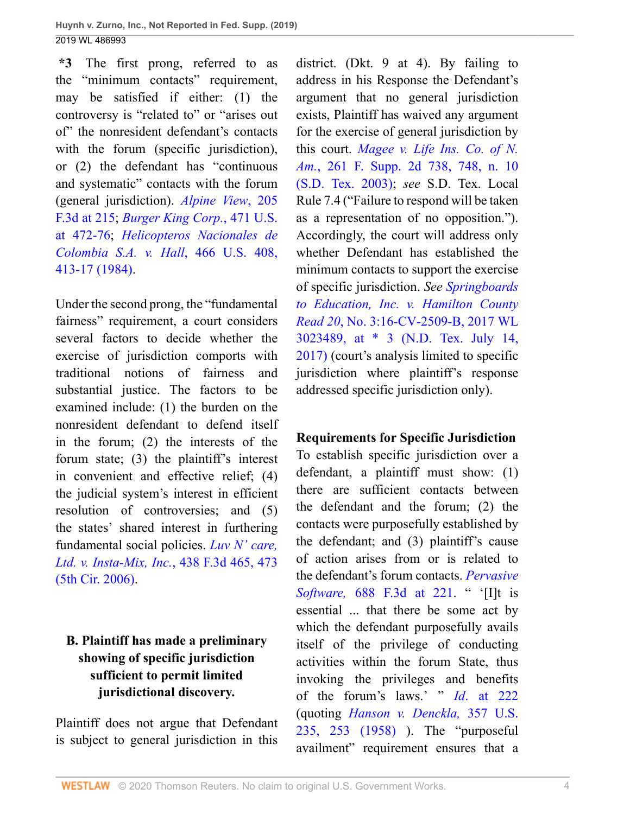**\*3** The first prong, referred to as the "minimum contacts" requirement, may be satisfied if either: (1) the controversy is "related to" or "arises out of" the nonresident defendant's contacts with the forum (specific jurisdiction), or (2) the defendant has "continuous and systematic" contacts with the forum (general jurisdiction). *[Alpine View](http://www.westlaw.com/Link/Document/FullText?findType=Y&serNum=2000063465&pubNum=0000506&originatingDoc=I891817902ba011e9bc469b767245e66a&refType=RP&fi=co_pp_sp_506_215&originationContext=document&vr=3.0&rs=cblt1.0&transitionType=DocumentItem&contextData=(sc.UserEnteredCitation)#co_pp_sp_506_215)*, 205 [F.3d at 215](http://www.westlaw.com/Link/Document/FullText?findType=Y&serNum=2000063465&pubNum=0000506&originatingDoc=I891817902ba011e9bc469b767245e66a&refType=RP&fi=co_pp_sp_506_215&originationContext=document&vr=3.0&rs=cblt1.0&transitionType=DocumentItem&contextData=(sc.UserEnteredCitation)#co_pp_sp_506_215); *[Burger King Corp.](http://www.westlaw.com/Link/Document/FullText?findType=Y&serNum=1985125841&pubNum=0000780&originatingDoc=I891817902ba011e9bc469b767245e66a&refType=RP&fi=co_pp_sp_780_472&originationContext=document&vr=3.0&rs=cblt1.0&transitionType=DocumentItem&contextData=(sc.UserEnteredCitation)#co_pp_sp_780_472)*, 471 U.S. [at 472-76](http://www.westlaw.com/Link/Document/FullText?findType=Y&serNum=1985125841&pubNum=0000780&originatingDoc=I891817902ba011e9bc469b767245e66a&refType=RP&fi=co_pp_sp_780_472&originationContext=document&vr=3.0&rs=cblt1.0&transitionType=DocumentItem&contextData=(sc.UserEnteredCitation)#co_pp_sp_780_472); *[Helicopteros Nacionales de](http://www.westlaw.com/Link/Document/FullText?findType=Y&serNum=1984119960&pubNum=0000780&originatingDoc=I891817902ba011e9bc469b767245e66a&refType=RP&fi=co_pp_sp_780_413&originationContext=document&vr=3.0&rs=cblt1.0&transitionType=DocumentItem&contextData=(sc.UserEnteredCitation)#co_pp_sp_780_413) [Colombia S.A. v. Hall](http://www.westlaw.com/Link/Document/FullText?findType=Y&serNum=1984119960&pubNum=0000780&originatingDoc=I891817902ba011e9bc469b767245e66a&refType=RP&fi=co_pp_sp_780_413&originationContext=document&vr=3.0&rs=cblt1.0&transitionType=DocumentItem&contextData=(sc.UserEnteredCitation)#co_pp_sp_780_413)*, 466 U.S. 408, [413-17 \(1984\).](http://www.westlaw.com/Link/Document/FullText?findType=Y&serNum=1984119960&pubNum=0000780&originatingDoc=I891817902ba011e9bc469b767245e66a&refType=RP&fi=co_pp_sp_780_413&originationContext=document&vr=3.0&rs=cblt1.0&transitionType=DocumentItem&contextData=(sc.UserEnteredCitation)#co_pp_sp_780_413)

Under the second prong, the "fundamental fairness" requirement, a court considers several factors to decide whether the exercise of jurisdiction comports with traditional notions of fairness and substantial justice. The factors to be examined include: (1) the burden on the nonresident defendant to defend itself in the forum; (2) the interests of the forum state; (3) the plaintiff's interest in convenient and effective relief; (4) the judicial system's interest in efficient resolution of controversies; and (5) the states' shared interest in furthering fundamental social policies. *[Luv N' care,](http://www.westlaw.com/Link/Document/FullText?findType=Y&serNum=2008260521&pubNum=0000506&originatingDoc=I891817902ba011e9bc469b767245e66a&refType=RP&fi=co_pp_sp_506_473&originationContext=document&vr=3.0&rs=cblt1.0&transitionType=DocumentItem&contextData=(sc.UserEnteredCitation)#co_pp_sp_506_473) [Ltd. v. Insta-Mix, Inc.](http://www.westlaw.com/Link/Document/FullText?findType=Y&serNum=2008260521&pubNum=0000506&originatingDoc=I891817902ba011e9bc469b767245e66a&refType=RP&fi=co_pp_sp_506_473&originationContext=document&vr=3.0&rs=cblt1.0&transitionType=DocumentItem&contextData=(sc.UserEnteredCitation)#co_pp_sp_506_473)*, 438 F.3d 465, 473 [\(5th Cir. 2006\).](http://www.westlaw.com/Link/Document/FullText?findType=Y&serNum=2008260521&pubNum=0000506&originatingDoc=I891817902ba011e9bc469b767245e66a&refType=RP&fi=co_pp_sp_506_473&originationContext=document&vr=3.0&rs=cblt1.0&transitionType=DocumentItem&contextData=(sc.UserEnteredCitation)#co_pp_sp_506_473)

# **B. Plaintiff has made a preliminary showing of specific jurisdiction sufficient to permit limited jurisdictional discovery.**

Plaintiff does not argue that Defendant is subject to general jurisdiction in this

district. (Dkt. 9 at 4). By failing to address in his Response the Defendant's argument that no general jurisdiction exists, Plaintiff has waived any argument for the exercise of general jurisdiction by this court. *[Magee v. Life Ins. Co. of N.](http://www.westlaw.com/Link/Document/FullText?findType=Y&serNum=2003326788&pubNum=0004637&originatingDoc=I891817902ba011e9bc469b767245e66a&refType=RP&fi=co_pp_sp_4637_748&originationContext=document&vr=3.0&rs=cblt1.0&transitionType=DocumentItem&contextData=(sc.UserEnteredCitation)#co_pp_sp_4637_748) Am.*[, 261 F. Supp. 2d 738, 748, n. 10](http://www.westlaw.com/Link/Document/FullText?findType=Y&serNum=2003326788&pubNum=0004637&originatingDoc=I891817902ba011e9bc469b767245e66a&refType=RP&fi=co_pp_sp_4637_748&originationContext=document&vr=3.0&rs=cblt1.0&transitionType=DocumentItem&contextData=(sc.UserEnteredCitation)#co_pp_sp_4637_748) [\(S.D. Tex. 2003\);](http://www.westlaw.com/Link/Document/FullText?findType=Y&serNum=2003326788&pubNum=0004637&originatingDoc=I891817902ba011e9bc469b767245e66a&refType=RP&fi=co_pp_sp_4637_748&originationContext=document&vr=3.0&rs=cblt1.0&transitionType=DocumentItem&contextData=(sc.UserEnteredCitation)#co_pp_sp_4637_748) *see* S.D. Tex. Local Rule 7.4 ("Failure to respond will be taken as a representation of no opposition."). Accordingly, the court will address only whether Defendant has established the minimum contacts to support the exercise of specific jurisdiction. *See [Springboards](http://www.westlaw.com/Link/Document/FullText?findType=Y&serNum=2042181469&pubNum=0000999&originatingDoc=I891817902ba011e9bc469b767245e66a&refType=RP&originationContext=document&vr=3.0&rs=cblt1.0&transitionType=DocumentItem&contextData=(sc.UserEnteredCitation)) [to Education, Inc. v. Hamilton County](http://www.westlaw.com/Link/Document/FullText?findType=Y&serNum=2042181469&pubNum=0000999&originatingDoc=I891817902ba011e9bc469b767245e66a&refType=RP&originationContext=document&vr=3.0&rs=cblt1.0&transitionType=DocumentItem&contextData=(sc.UserEnteredCitation)) Read 20*[, No. 3:16-CV-2509-B, 2017 WL](http://www.westlaw.com/Link/Document/FullText?findType=Y&serNum=2042181469&pubNum=0000999&originatingDoc=I891817902ba011e9bc469b767245e66a&refType=RP&originationContext=document&vr=3.0&rs=cblt1.0&transitionType=DocumentItem&contextData=(sc.UserEnteredCitation)) [3023489, at \\* 3 \(N.D. Tex. July 14,](http://www.westlaw.com/Link/Document/FullText?findType=Y&serNum=2042181469&pubNum=0000999&originatingDoc=I891817902ba011e9bc469b767245e66a&refType=RP&originationContext=document&vr=3.0&rs=cblt1.0&transitionType=DocumentItem&contextData=(sc.UserEnteredCitation)) [2017\)](http://www.westlaw.com/Link/Document/FullText?findType=Y&serNum=2042181469&pubNum=0000999&originatingDoc=I891817902ba011e9bc469b767245e66a&refType=RP&originationContext=document&vr=3.0&rs=cblt1.0&transitionType=DocumentItem&contextData=(sc.UserEnteredCitation)) (court's analysis limited to specific jurisdiction where plaintiff's response addressed specific jurisdiction only).

**Requirements for Specific Jurisdiction** To establish specific jurisdiction over a defendant, a plaintiff must show: (1) there are sufficient contacts between the defendant and the forum; (2) the contacts were purposefully established by the defendant; and (3) plaintiff's cause of action arises from or is related to the defendant's forum contacts. *[Pervasive](http://www.westlaw.com/Link/Document/FullText?findType=Y&serNum=2028247227&pubNum=0000506&originatingDoc=I891817902ba011e9bc469b767245e66a&refType=RP&fi=co_pp_sp_506_221&originationContext=document&vr=3.0&rs=cblt1.0&transitionType=DocumentItem&contextData=(sc.UserEnteredCitation)#co_pp_sp_506_221) Software,* [688 F.3d at 221.](http://www.westlaw.com/Link/Document/FullText?findType=Y&serNum=2028247227&pubNum=0000506&originatingDoc=I891817902ba011e9bc469b767245e66a&refType=RP&fi=co_pp_sp_506_221&originationContext=document&vr=3.0&rs=cblt1.0&transitionType=DocumentItem&contextData=(sc.UserEnteredCitation)#co_pp_sp_506_221) " '[I]t is essential ... that there be some act by which the defendant purposefully avails itself of the privilege of conducting activities within the forum State, thus invoking the privileges and benefits of the forum's laws.' " *Id*[. at 222](http://www.westlaw.com/Link/Document/FullText?findType=Y&serNum=2028247227&pubNum=0000506&originatingDoc=I891817902ba011e9bc469b767245e66a&refType=RP&fi=co_pp_sp_506_222&originationContext=document&vr=3.0&rs=cblt1.0&transitionType=DocumentItem&contextData=(sc.UserEnteredCitation)#co_pp_sp_506_222) (quoting *[Hanson v. Denckla,](http://www.westlaw.com/Link/Document/FullText?findType=Y&serNum=1958121475&pubNum=0000780&originatingDoc=I891817902ba011e9bc469b767245e66a&refType=RP&fi=co_pp_sp_780_253&originationContext=document&vr=3.0&rs=cblt1.0&transitionType=DocumentItem&contextData=(sc.UserEnteredCitation)#co_pp_sp_780_253)* 357 U.S. [235, 253 \(1958\)](http://www.westlaw.com/Link/Document/FullText?findType=Y&serNum=1958121475&pubNum=0000780&originatingDoc=I891817902ba011e9bc469b767245e66a&refType=RP&fi=co_pp_sp_780_253&originationContext=document&vr=3.0&rs=cblt1.0&transitionType=DocumentItem&contextData=(sc.UserEnteredCitation)#co_pp_sp_780_253) ). The "purposeful availment" requirement ensures that a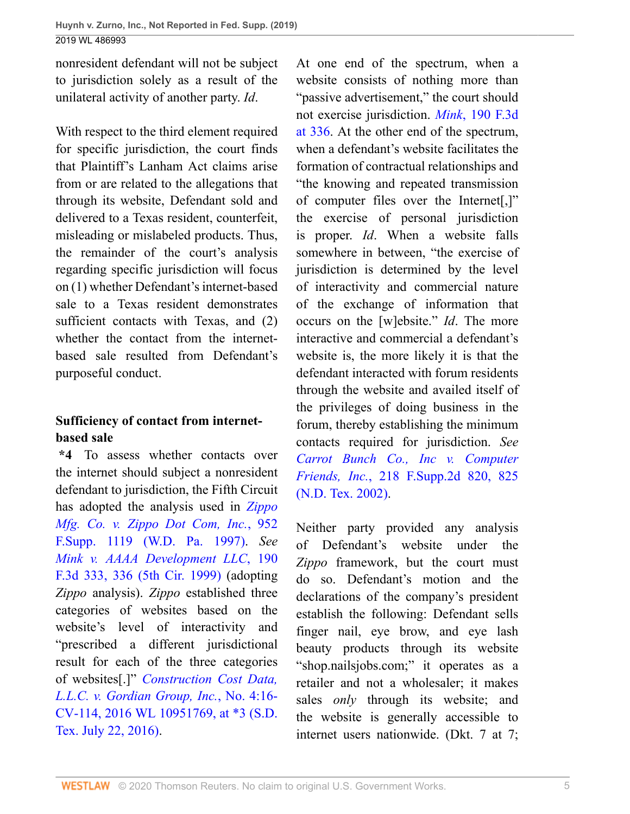nonresident defendant will not be subject to jurisdiction solely as a result of the unilateral activity of another party. *Id*.

With respect to the third element required for specific jurisdiction, the court finds that Plaintiff's Lanham Act claims arise from or are related to the allegations that through its website, Defendant sold and delivered to a Texas resident, counterfeit, misleading or mislabeled products. Thus, the remainder of the court's analysis regarding specific jurisdiction will focus on (1) whether Defendant's internet-based sale to a Texas resident demonstrates sufficient contacts with Texas, and (2) whether the contact from the internetbased sale resulted from Defendant's purposeful conduct.

## **Sufficiency of contact from internetbased sale**

**\*4** To assess whether contacts over the internet should subject a nonresident defendant to jurisdiction, the Fifth Circuit has adopted the analysis used in *[Zippo](http://www.westlaw.com/Link/Document/FullText?findType=Y&serNum=1997044255&pubNum=0000345&originatingDoc=I891817902ba011e9bc469b767245e66a&refType=RP&originationContext=document&vr=3.0&rs=cblt1.0&transitionType=DocumentItem&contextData=(sc.UserEnteredCitation)) [Mfg. Co. v. Zippo Dot Com, Inc.](http://www.westlaw.com/Link/Document/FullText?findType=Y&serNum=1997044255&pubNum=0000345&originatingDoc=I891817902ba011e9bc469b767245e66a&refType=RP&originationContext=document&vr=3.0&rs=cblt1.0&transitionType=DocumentItem&contextData=(sc.UserEnteredCitation))*, 952 [F.Supp. 1119 \(W.D. Pa. 1997\)](http://www.westlaw.com/Link/Document/FullText?findType=Y&serNum=1997044255&pubNum=0000345&originatingDoc=I891817902ba011e9bc469b767245e66a&refType=RP&originationContext=document&vr=3.0&rs=cblt1.0&transitionType=DocumentItem&contextData=(sc.UserEnteredCitation)). *See [Mink v. AAAA Development LLC](http://www.westlaw.com/Link/Document/FullText?findType=Y&serNum=1999214168&pubNum=0000506&originatingDoc=I891817902ba011e9bc469b767245e66a&refType=RP&fi=co_pp_sp_506_336&originationContext=document&vr=3.0&rs=cblt1.0&transitionType=DocumentItem&contextData=(sc.UserEnteredCitation)#co_pp_sp_506_336)*, 190 [F.3d 333, 336 \(5th Cir. 1999\)](http://www.westlaw.com/Link/Document/FullText?findType=Y&serNum=1999214168&pubNum=0000506&originatingDoc=I891817902ba011e9bc469b767245e66a&refType=RP&fi=co_pp_sp_506_336&originationContext=document&vr=3.0&rs=cblt1.0&transitionType=DocumentItem&contextData=(sc.UserEnteredCitation)#co_pp_sp_506_336) (adopting *Zippo* analysis). *Zippo* established three categories of websites based on the website's level of interactivity and "prescribed a different jurisdictional result for each of the three categories of websites[.]" *[Construction Cost Data,](http://www.westlaw.com/Link/Document/FullText?findType=Y&serNum=2043897987&pubNum=0000999&originatingDoc=I891817902ba011e9bc469b767245e66a&refType=RP&originationContext=document&vr=3.0&rs=cblt1.0&transitionType=DocumentItem&contextData=(sc.UserEnteredCitation)) [L.L.C. v. Gordian Group, Inc.](http://www.westlaw.com/Link/Document/FullText?findType=Y&serNum=2043897987&pubNum=0000999&originatingDoc=I891817902ba011e9bc469b767245e66a&refType=RP&originationContext=document&vr=3.0&rs=cblt1.0&transitionType=DocumentItem&contextData=(sc.UserEnteredCitation))*, No. 4:16- [CV-114, 2016 WL 10951769, at \\*3 \(S.D.](http://www.westlaw.com/Link/Document/FullText?findType=Y&serNum=2043897987&pubNum=0000999&originatingDoc=I891817902ba011e9bc469b767245e66a&refType=RP&originationContext=document&vr=3.0&rs=cblt1.0&transitionType=DocumentItem&contextData=(sc.UserEnteredCitation)) [Tex. July 22, 2016\).](http://www.westlaw.com/Link/Document/FullText?findType=Y&serNum=2043897987&pubNum=0000999&originatingDoc=I891817902ba011e9bc469b767245e66a&refType=RP&originationContext=document&vr=3.0&rs=cblt1.0&transitionType=DocumentItem&contextData=(sc.UserEnteredCitation))

At one end of the spectrum, when a website consists of nothing more than "passive advertisement," the court should not exercise jurisdiction. *Mink*[, 190 F.3d](http://www.westlaw.com/Link/Document/FullText?findType=Y&serNum=1999214168&pubNum=0000506&originatingDoc=I891817902ba011e9bc469b767245e66a&refType=RP&fi=co_pp_sp_506_336&originationContext=document&vr=3.0&rs=cblt1.0&transitionType=DocumentItem&contextData=(sc.UserEnteredCitation)#co_pp_sp_506_336) [at 336.](http://www.westlaw.com/Link/Document/FullText?findType=Y&serNum=1999214168&pubNum=0000506&originatingDoc=I891817902ba011e9bc469b767245e66a&refType=RP&fi=co_pp_sp_506_336&originationContext=document&vr=3.0&rs=cblt1.0&transitionType=DocumentItem&contextData=(sc.UserEnteredCitation)#co_pp_sp_506_336) At the other end of the spectrum, when a defendant's website facilitates the formation of contractual relationships and "the knowing and repeated transmission of computer files over the Internet[,]" the exercise of personal jurisdiction is proper. *Id*. When a website falls somewhere in between, "the exercise of jurisdiction is determined by the level of interactivity and commercial nature of the exchange of information that occurs on the [w]ebsite." *Id*. The more interactive and commercial a defendant's website is, the more likely it is that the defendant interacted with forum residents through the website and availed itself of the privileges of doing business in the forum, thereby establishing the minimum contacts required for jurisdiction. *See [Carrot Bunch Co., Inc v. Computer](http://www.westlaw.com/Link/Document/FullText?findType=Y&serNum=2002526231&pubNum=0004637&originatingDoc=I891817902ba011e9bc469b767245e66a&refType=RP&fi=co_pp_sp_4637_825&originationContext=document&vr=3.0&rs=cblt1.0&transitionType=DocumentItem&contextData=(sc.UserEnteredCitation)#co_pp_sp_4637_825) Friends, Inc.*[, 218 F.Supp.2d 820, 825](http://www.westlaw.com/Link/Document/FullText?findType=Y&serNum=2002526231&pubNum=0004637&originatingDoc=I891817902ba011e9bc469b767245e66a&refType=RP&fi=co_pp_sp_4637_825&originationContext=document&vr=3.0&rs=cblt1.0&transitionType=DocumentItem&contextData=(sc.UserEnteredCitation)#co_pp_sp_4637_825) [\(N.D. Tex. 2002\).](http://www.westlaw.com/Link/Document/FullText?findType=Y&serNum=2002526231&pubNum=0004637&originatingDoc=I891817902ba011e9bc469b767245e66a&refType=RP&fi=co_pp_sp_4637_825&originationContext=document&vr=3.0&rs=cblt1.0&transitionType=DocumentItem&contextData=(sc.UserEnteredCitation)#co_pp_sp_4637_825)

Neither party provided any analysis of Defendant's website under the *Zippo* framework, but the court must do so. Defendant's motion and the declarations of the company's president establish the following: Defendant sells finger nail, eye brow, and eye lash beauty products through its website "shop.nailsjobs.com;" it operates as a retailer and not a wholesaler; it makes sales *only* through its website; and the website is generally accessible to internet users nationwide. (Dkt. 7 at 7;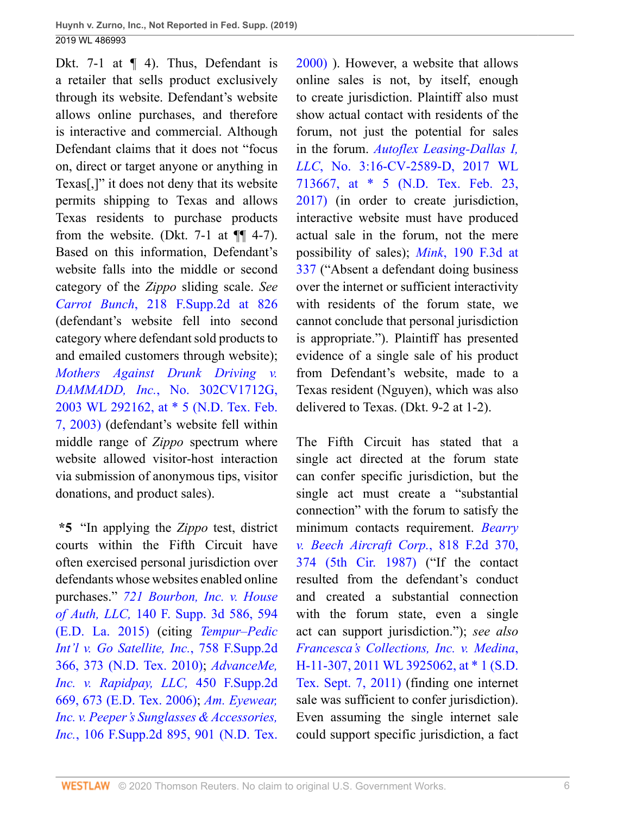Dkt. 7-1 at  $\P$  4). Thus, Defendant is a retailer that sells product exclusively through its website. Defendant's website allows online purchases, and therefore is interactive and commercial. Although Defendant claims that it does not "focus on, direct or target anyone or anything in Texas[,]" it does not deny that its website permits shipping to Texas and allows Texas residents to purchase products from the website. (Dkt.  $7-1$  at  $\P\P$  4-7). Based on this information, Defendant's website falls into the middle or second category of the *Zippo* sliding scale. *See Carrot Bunch*[, 218 F.Supp.2d at 826](http://www.westlaw.com/Link/Document/FullText?findType=Y&serNum=2002526231&pubNum=0004637&originatingDoc=I891817902ba011e9bc469b767245e66a&refType=RP&fi=co_pp_sp_4637_826&originationContext=document&vr=3.0&rs=cblt1.0&transitionType=DocumentItem&contextData=(sc.UserEnteredCitation)#co_pp_sp_4637_826) (defendant's website fell into second category where defendant sold products to and emailed customers through website); *[Mothers Against Drunk Driving v.](http://www.westlaw.com/Link/Document/FullText?findType=Y&serNum=2003153874&pubNum=0000999&originatingDoc=I891817902ba011e9bc469b767245e66a&refType=RP&originationContext=document&vr=3.0&rs=cblt1.0&transitionType=DocumentItem&contextData=(sc.UserEnteredCitation)) DAMMADD, Inc.*[, No. 302CV1712G,](http://www.westlaw.com/Link/Document/FullText?findType=Y&serNum=2003153874&pubNum=0000999&originatingDoc=I891817902ba011e9bc469b767245e66a&refType=RP&originationContext=document&vr=3.0&rs=cblt1.0&transitionType=DocumentItem&contextData=(sc.UserEnteredCitation)) [2003 WL 292162, at \\* 5 \(N.D. Tex. Feb.](http://www.westlaw.com/Link/Document/FullText?findType=Y&serNum=2003153874&pubNum=0000999&originatingDoc=I891817902ba011e9bc469b767245e66a&refType=RP&originationContext=document&vr=3.0&rs=cblt1.0&transitionType=DocumentItem&contextData=(sc.UserEnteredCitation)) [7, 2003\)](http://www.westlaw.com/Link/Document/FullText?findType=Y&serNum=2003153874&pubNum=0000999&originatingDoc=I891817902ba011e9bc469b767245e66a&refType=RP&originationContext=document&vr=3.0&rs=cblt1.0&transitionType=DocumentItem&contextData=(sc.UserEnteredCitation)) (defendant's website fell within middle range of *Zippo* spectrum where website allowed visitor-host interaction via submission of anonymous tips, visitor donations, and product sales).

**\*5** "In applying the *Zippo* test, district courts within the Fifth Circuit have often exercised personal jurisdiction over defendants whose websites enabled online purchases." *[721 Bourbon, Inc. v. House](http://www.westlaw.com/Link/Document/FullText?findType=Y&serNum=2037414871&pubNum=0007903&originatingDoc=I891817902ba011e9bc469b767245e66a&refType=RP&fi=co_pp_sp_7903_594&originationContext=document&vr=3.0&rs=cblt1.0&transitionType=DocumentItem&contextData=(sc.UserEnteredCitation)#co_pp_sp_7903_594) of Auth, LLC,* [140 F. Supp. 3d 586, 594](http://www.westlaw.com/Link/Document/FullText?findType=Y&serNum=2037414871&pubNum=0007903&originatingDoc=I891817902ba011e9bc469b767245e66a&refType=RP&fi=co_pp_sp_7903_594&originationContext=document&vr=3.0&rs=cblt1.0&transitionType=DocumentItem&contextData=(sc.UserEnteredCitation)#co_pp_sp_7903_594) [\(E.D. La. 2015\)](http://www.westlaw.com/Link/Document/FullText?findType=Y&serNum=2037414871&pubNum=0007903&originatingDoc=I891817902ba011e9bc469b767245e66a&refType=RP&fi=co_pp_sp_7903_594&originationContext=document&vr=3.0&rs=cblt1.0&transitionType=DocumentItem&contextData=(sc.UserEnteredCitation)#co_pp_sp_7903_594) (citing *[Tempur–Pedic](http://www.westlaw.com/Link/Document/FullText?findType=Y&serNum=2024094149&pubNum=0004637&originatingDoc=I891817902ba011e9bc469b767245e66a&refType=RP&fi=co_pp_sp_4637_373&originationContext=document&vr=3.0&rs=cblt1.0&transitionType=DocumentItem&contextData=(sc.UserEnteredCitation)#co_pp_sp_4637_373) [Int'l v. Go Satellite, Inc.](http://www.westlaw.com/Link/Document/FullText?findType=Y&serNum=2024094149&pubNum=0004637&originatingDoc=I891817902ba011e9bc469b767245e66a&refType=RP&fi=co_pp_sp_4637_373&originationContext=document&vr=3.0&rs=cblt1.0&transitionType=DocumentItem&contextData=(sc.UserEnteredCitation)#co_pp_sp_4637_373)*, 758 F.Supp.2d [366, 373 \(N.D. Tex. 2010\)](http://www.westlaw.com/Link/Document/FullText?findType=Y&serNum=2024094149&pubNum=0004637&originatingDoc=I891817902ba011e9bc469b767245e66a&refType=RP&fi=co_pp_sp_4637_373&originationContext=document&vr=3.0&rs=cblt1.0&transitionType=DocumentItem&contextData=(sc.UserEnteredCitation)#co_pp_sp_4637_373); *[AdvanceMe,](http://www.westlaw.com/Link/Document/FullText?findType=Y&serNum=2010215724&pubNum=0004637&originatingDoc=I891817902ba011e9bc469b767245e66a&refType=RP&fi=co_pp_sp_4637_673&originationContext=document&vr=3.0&rs=cblt1.0&transitionType=DocumentItem&contextData=(sc.UserEnteredCitation)#co_pp_sp_4637_673) [Inc. v. Rapidpay, LLC,](http://www.westlaw.com/Link/Document/FullText?findType=Y&serNum=2010215724&pubNum=0004637&originatingDoc=I891817902ba011e9bc469b767245e66a&refType=RP&fi=co_pp_sp_4637_673&originationContext=document&vr=3.0&rs=cblt1.0&transitionType=DocumentItem&contextData=(sc.UserEnteredCitation)#co_pp_sp_4637_673)* 450 F.Supp.2d [669, 673 \(E.D. Tex. 2006\)](http://www.westlaw.com/Link/Document/FullText?findType=Y&serNum=2010215724&pubNum=0004637&originatingDoc=I891817902ba011e9bc469b767245e66a&refType=RP&fi=co_pp_sp_4637_673&originationContext=document&vr=3.0&rs=cblt1.0&transitionType=DocumentItem&contextData=(sc.UserEnteredCitation)#co_pp_sp_4637_673); *[Am. Eyewear,](http://www.westlaw.com/Link/Document/FullText?findType=Y&serNum=2000357143&pubNum=0004637&originatingDoc=I891817902ba011e9bc469b767245e66a&refType=RP&fi=co_pp_sp_4637_901&originationContext=document&vr=3.0&rs=cblt1.0&transitionType=DocumentItem&contextData=(sc.UserEnteredCitation)#co_pp_sp_4637_901) [Inc. v. Peeper's Sunglasses & Accessories,](http://www.westlaw.com/Link/Document/FullText?findType=Y&serNum=2000357143&pubNum=0004637&originatingDoc=I891817902ba011e9bc469b767245e66a&refType=RP&fi=co_pp_sp_4637_901&originationContext=document&vr=3.0&rs=cblt1.0&transitionType=DocumentItem&contextData=(sc.UserEnteredCitation)#co_pp_sp_4637_901) Inc.*[, 106 F.Supp.2d 895, 901 \(N.D. Tex.](http://www.westlaw.com/Link/Document/FullText?findType=Y&serNum=2000357143&pubNum=0004637&originatingDoc=I891817902ba011e9bc469b767245e66a&refType=RP&fi=co_pp_sp_4637_901&originationContext=document&vr=3.0&rs=cblt1.0&transitionType=DocumentItem&contextData=(sc.UserEnteredCitation)#co_pp_sp_4637_901)

[2000\)](http://www.westlaw.com/Link/Document/FullText?findType=Y&serNum=2000357143&pubNum=0004637&originatingDoc=I891817902ba011e9bc469b767245e66a&refType=RP&fi=co_pp_sp_4637_901&originationContext=document&vr=3.0&rs=cblt1.0&transitionType=DocumentItem&contextData=(sc.UserEnteredCitation)#co_pp_sp_4637_901) ). However, a website that allows online sales is not, by itself, enough to create jurisdiction. Plaintiff also must show actual contact with residents of the forum, not just the potential for sales in the forum. *[Autoflex Leasing-Dallas I,](http://www.westlaw.com/Link/Document/FullText?findType=Y&serNum=2041071656&pubNum=0000999&originatingDoc=I891817902ba011e9bc469b767245e66a&refType=RP&originationContext=document&vr=3.0&rs=cblt1.0&transitionType=DocumentItem&contextData=(sc.UserEnteredCitation)) LLC*[, No. 3:16-CV-2589-D, 2017 WL](http://www.westlaw.com/Link/Document/FullText?findType=Y&serNum=2041071656&pubNum=0000999&originatingDoc=I891817902ba011e9bc469b767245e66a&refType=RP&originationContext=document&vr=3.0&rs=cblt1.0&transitionType=DocumentItem&contextData=(sc.UserEnteredCitation)) [713667, at \\* 5 \(N.D. Tex. Feb. 23,](http://www.westlaw.com/Link/Document/FullText?findType=Y&serNum=2041071656&pubNum=0000999&originatingDoc=I891817902ba011e9bc469b767245e66a&refType=RP&originationContext=document&vr=3.0&rs=cblt1.0&transitionType=DocumentItem&contextData=(sc.UserEnteredCitation)) [2017\)](http://www.westlaw.com/Link/Document/FullText?findType=Y&serNum=2041071656&pubNum=0000999&originatingDoc=I891817902ba011e9bc469b767245e66a&refType=RP&originationContext=document&vr=3.0&rs=cblt1.0&transitionType=DocumentItem&contextData=(sc.UserEnteredCitation)) (in order to create jurisdiction, interactive website must have produced actual sale in the forum, not the mere possibility of sales); *Mink*[, 190 F.3d at](http://www.westlaw.com/Link/Document/FullText?findType=Y&serNum=1999214168&pubNum=0000506&originatingDoc=I891817902ba011e9bc469b767245e66a&refType=RP&fi=co_pp_sp_506_337&originationContext=document&vr=3.0&rs=cblt1.0&transitionType=DocumentItem&contextData=(sc.UserEnteredCitation)#co_pp_sp_506_337) [337](http://www.westlaw.com/Link/Document/FullText?findType=Y&serNum=1999214168&pubNum=0000506&originatingDoc=I891817902ba011e9bc469b767245e66a&refType=RP&fi=co_pp_sp_506_337&originationContext=document&vr=3.0&rs=cblt1.0&transitionType=DocumentItem&contextData=(sc.UserEnteredCitation)#co_pp_sp_506_337) ("Absent a defendant doing business over the internet or sufficient interactivity with residents of the forum state, we cannot conclude that personal jurisdiction is appropriate."). Plaintiff has presented evidence of a single sale of his product from Defendant's website, made to a Texas resident (Nguyen), which was also delivered to Texas. (Dkt. 9-2 at 1-2).

The Fifth Circuit has stated that a single act directed at the forum state can confer specific jurisdiction, but the single act must create a "substantial connection" with the forum to satisfy the minimum contacts requirement. *[Bearry](http://www.westlaw.com/Link/Document/FullText?findType=Y&serNum=1987063068&pubNum=0000350&originatingDoc=I891817902ba011e9bc469b767245e66a&refType=RP&fi=co_pp_sp_350_374&originationContext=document&vr=3.0&rs=cblt1.0&transitionType=DocumentItem&contextData=(sc.UserEnteredCitation)#co_pp_sp_350_374) [v. Beech Aircraft Corp.](http://www.westlaw.com/Link/Document/FullText?findType=Y&serNum=1987063068&pubNum=0000350&originatingDoc=I891817902ba011e9bc469b767245e66a&refType=RP&fi=co_pp_sp_350_374&originationContext=document&vr=3.0&rs=cblt1.0&transitionType=DocumentItem&contextData=(sc.UserEnteredCitation)#co_pp_sp_350_374)*, 818 F.2d 370, [374 \(5th Cir. 1987\)](http://www.westlaw.com/Link/Document/FullText?findType=Y&serNum=1987063068&pubNum=0000350&originatingDoc=I891817902ba011e9bc469b767245e66a&refType=RP&fi=co_pp_sp_350_374&originationContext=document&vr=3.0&rs=cblt1.0&transitionType=DocumentItem&contextData=(sc.UserEnteredCitation)#co_pp_sp_350_374) ("If the contact resulted from the defendant's conduct and created a substantial connection with the forum state, even a single act can support jurisdiction."); *see also [Francesca's Collections, Inc. v. Medina](http://www.westlaw.com/Link/Document/FullText?findType=Y&serNum=2026089245&pubNum=0000999&originatingDoc=I891817902ba011e9bc469b767245e66a&refType=RP&originationContext=document&vr=3.0&rs=cblt1.0&transitionType=DocumentItem&contextData=(sc.UserEnteredCitation))*, [H-11-307, 2011 WL 3925062, at \\* 1 \(S.D.](http://www.westlaw.com/Link/Document/FullText?findType=Y&serNum=2026089245&pubNum=0000999&originatingDoc=I891817902ba011e9bc469b767245e66a&refType=RP&originationContext=document&vr=3.0&rs=cblt1.0&transitionType=DocumentItem&contextData=(sc.UserEnteredCitation)) [Tex. Sept. 7, 2011\)](http://www.westlaw.com/Link/Document/FullText?findType=Y&serNum=2026089245&pubNum=0000999&originatingDoc=I891817902ba011e9bc469b767245e66a&refType=RP&originationContext=document&vr=3.0&rs=cblt1.0&transitionType=DocumentItem&contextData=(sc.UserEnteredCitation)) (finding one internet sale was sufficient to confer jurisdiction). Even assuming the single internet sale could support specific jurisdiction, a fact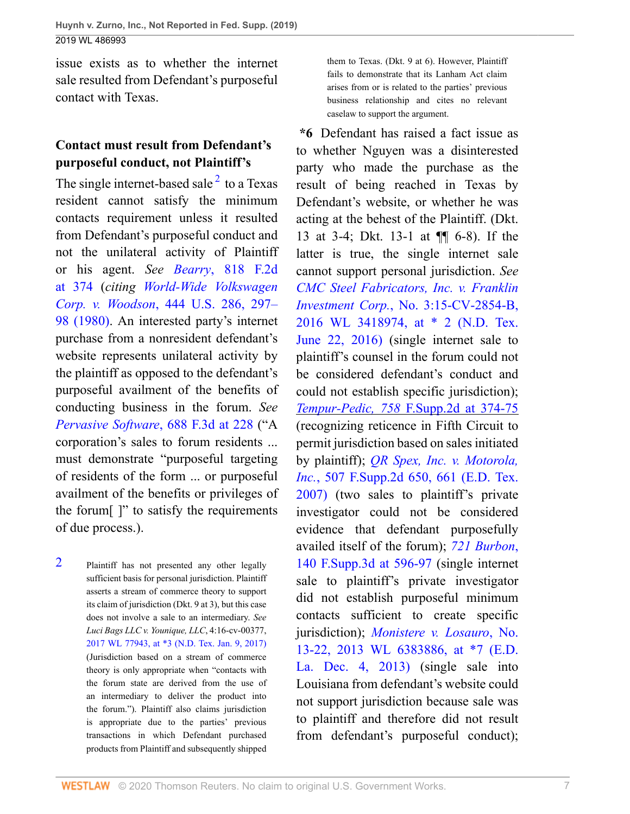issue exists as to whether the internet sale resulted from Defendant's purposeful contact with Texas.

## **Contact must result from Defendant's purposeful conduct, not Plaintiff's**

The single internet-based sale  $2$  to a Texas resident cannot satisfy the minimum contacts requirement unless it resulted from Defendant's purposeful conduct and not the unilateral activity of Plaintiff or his agent. *See Bearry*[, 818 F.2d](http://www.westlaw.com/Link/Document/FullText?findType=Y&serNum=1987063068&pubNum=0000350&originatingDoc=I891817902ba011e9bc469b767245e66a&refType=RP&fi=co_pp_sp_350_374&originationContext=document&vr=3.0&rs=cblt1.0&transitionType=DocumentItem&contextData=(sc.UserEnteredCitation)#co_pp_sp_350_374) [at 374](http://www.westlaw.com/Link/Document/FullText?findType=Y&serNum=1987063068&pubNum=0000350&originatingDoc=I891817902ba011e9bc469b767245e66a&refType=RP&fi=co_pp_sp_350_374&originationContext=document&vr=3.0&rs=cblt1.0&transitionType=DocumentItem&contextData=(sc.UserEnteredCitation)#co_pp_sp_350_374) (*citing [World-Wide Volkswagen](http://www.westlaw.com/Link/Document/FullText?findType=Y&serNum=1980101293&pubNum=0000780&originatingDoc=I891817902ba011e9bc469b767245e66a&refType=RP&fi=co_pp_sp_780_297&originationContext=document&vr=3.0&rs=cblt1.0&transitionType=DocumentItem&contextData=(sc.UserEnteredCitation)#co_pp_sp_780_297) Corp. v. Woodson*[, 444 U.S. 286, 297–](http://www.westlaw.com/Link/Document/FullText?findType=Y&serNum=1980101293&pubNum=0000780&originatingDoc=I891817902ba011e9bc469b767245e66a&refType=RP&fi=co_pp_sp_780_297&originationContext=document&vr=3.0&rs=cblt1.0&transitionType=DocumentItem&contextData=(sc.UserEnteredCitation)#co_pp_sp_780_297) [98 \(1980\)](http://www.westlaw.com/Link/Document/FullText?findType=Y&serNum=1980101293&pubNum=0000780&originatingDoc=I891817902ba011e9bc469b767245e66a&refType=RP&fi=co_pp_sp_780_297&originationContext=document&vr=3.0&rs=cblt1.0&transitionType=DocumentItem&contextData=(sc.UserEnteredCitation)#co_pp_sp_780_297). An interested party's internet purchase from a nonresident defendant's website represents unilateral activity by the plaintiff as opposed to the defendant's purposeful availment of the benefits of conducting business in the forum. *See [Pervasive Software](http://www.westlaw.com/Link/Document/FullText?findType=Y&serNum=2028247227&pubNum=0000506&originatingDoc=I891817902ba011e9bc469b767245e66a&refType=RP&fi=co_pp_sp_506_228&originationContext=document&vr=3.0&rs=cblt1.0&transitionType=DocumentItem&contextData=(sc.UserEnteredCitation)#co_pp_sp_506_228)*, 688 F.3d at 228 ("A corporation's sales to forum residents ... must demonstrate "purposeful targeting of residents of the form ... or purposeful availment of the benefits or privileges of the forum[ ]" to satisfy the requirements of due process.).

<span id="page-6-0"></span>[2](#page-6-1) Plaintiff has not presented any other legally sufficient basis for personal jurisdiction. Plaintiff asserts a stream of commerce theory to support its claim of jurisdiction (Dkt. 9 at 3), but this case does not involve a sale to an intermediary. *See Luci Bags LLC v. Younique, LLC*, 4:16-cv-00377, [2017 WL 77943, at \\*3 \(N.D. Tex. Jan. 9, 2017\)](http://www.westlaw.com/Link/Document/FullText?findType=Y&serNum=2040725341&pubNum=0000999&originatingDoc=I891817902ba011e9bc469b767245e66a&refType=RP&originationContext=document&vr=3.0&rs=cblt1.0&transitionType=DocumentItem&contextData=(sc.UserEnteredCitation)) (Jurisdiction based on a stream of commerce theory is only appropriate when "contacts with the forum state are derived from the use of an intermediary to deliver the product into the forum."). Plaintiff also claims jurisdiction is appropriate due to the parties' previous transactions in which Defendant purchased products from Plaintiff and subsequently shipped

them to Texas. (Dkt. 9 at 6). However, Plaintiff fails to demonstrate that its Lanham Act claim arises from or is related to the parties' previous business relationship and cites no relevant caselaw to support the argument.

<span id="page-6-1"></span>**\*6** Defendant has raised a fact issue as to whether Nguyen was a disinterested party who made the purchase as the result of being reached in Texas by Defendant's website, or whether he was acting at the behest of the Plaintiff. (Dkt. 13 at 3-4; Dkt. 13-1 at ¶¶ 6-8). If the latter is true, the single internet sale cannot support personal jurisdiction. *See [CMC Steel Fabricators, Inc. v. Franklin](http://www.westlaw.com/Link/Document/FullText?findType=Y&serNum=2039221041&pubNum=0000999&originatingDoc=I891817902ba011e9bc469b767245e66a&refType=RP&originationContext=document&vr=3.0&rs=cblt1.0&transitionType=DocumentItem&contextData=(sc.UserEnteredCitation)) Investment Corp.*[, No. 3:15-CV-2854-B,](http://www.westlaw.com/Link/Document/FullText?findType=Y&serNum=2039221041&pubNum=0000999&originatingDoc=I891817902ba011e9bc469b767245e66a&refType=RP&originationContext=document&vr=3.0&rs=cblt1.0&transitionType=DocumentItem&contextData=(sc.UserEnteredCitation)) [2016 WL 3418974, at \\* 2 \(N.D. Tex.](http://www.westlaw.com/Link/Document/FullText?findType=Y&serNum=2039221041&pubNum=0000999&originatingDoc=I891817902ba011e9bc469b767245e66a&refType=RP&originationContext=document&vr=3.0&rs=cblt1.0&transitionType=DocumentItem&contextData=(sc.UserEnteredCitation)) [June 22, 2016\)](http://www.westlaw.com/Link/Document/FullText?findType=Y&serNum=2039221041&pubNum=0000999&originatingDoc=I891817902ba011e9bc469b767245e66a&refType=RP&originationContext=document&vr=3.0&rs=cblt1.0&transitionType=DocumentItem&contextData=(sc.UserEnteredCitation)) (single internet sale to plaintiff's counsel in the forum could not be considered defendant's conduct and could not establish specific jurisdiction); *Tempur-Pedic, 758* [F.Supp.2d at 374-75](http://www.westlaw.com/Link/Document/FullText?findType=Y&serNum=2024094149&pubNum=0004637&originatingDoc=I891817902ba011e9bc469b767245e66a&refType=RP&fi=co_pp_sp_4637_374&originationContext=document&vr=3.0&rs=cblt1.0&transitionType=DocumentItem&contextData=(sc.UserEnteredCitation)#co_pp_sp_4637_374) (recognizing reticence in Fifth Circuit to permit jurisdiction based on sales initiated by plaintiff); *[QR Spex, Inc. v. Motorola,](http://www.westlaw.com/Link/Document/FullText?findType=Y&serNum=2013122744&pubNum=0004637&originatingDoc=I891817902ba011e9bc469b767245e66a&refType=RP&fi=co_pp_sp_4637_661&originationContext=document&vr=3.0&rs=cblt1.0&transitionType=DocumentItem&contextData=(sc.UserEnteredCitation)#co_pp_sp_4637_661) Inc.*[, 507 F.Supp.2d 650, 661 \(E.D. Tex.](http://www.westlaw.com/Link/Document/FullText?findType=Y&serNum=2013122744&pubNum=0004637&originatingDoc=I891817902ba011e9bc469b767245e66a&refType=RP&fi=co_pp_sp_4637_661&originationContext=document&vr=3.0&rs=cblt1.0&transitionType=DocumentItem&contextData=(sc.UserEnteredCitation)#co_pp_sp_4637_661) [2007\)](http://www.westlaw.com/Link/Document/FullText?findType=Y&serNum=2013122744&pubNum=0004637&originatingDoc=I891817902ba011e9bc469b767245e66a&refType=RP&fi=co_pp_sp_4637_661&originationContext=document&vr=3.0&rs=cblt1.0&transitionType=DocumentItem&contextData=(sc.UserEnteredCitation)#co_pp_sp_4637_661) (two sales to plaintiff's private investigator could not be considered evidence that defendant purposefully availed itself of the forum); *[721 Burbon](http://www.westlaw.com/Link/Document/FullText?findType=Y&serNum=2037414871&pubNum=0007903&originatingDoc=I891817902ba011e9bc469b767245e66a&refType=RP&fi=co_pp_sp_7903_596&originationContext=document&vr=3.0&rs=cblt1.0&transitionType=DocumentItem&contextData=(sc.UserEnteredCitation)#co_pp_sp_7903_596)*, [140 F.Supp.3d at 596-97](http://www.westlaw.com/Link/Document/FullText?findType=Y&serNum=2037414871&pubNum=0007903&originatingDoc=I891817902ba011e9bc469b767245e66a&refType=RP&fi=co_pp_sp_7903_596&originationContext=document&vr=3.0&rs=cblt1.0&transitionType=DocumentItem&contextData=(sc.UserEnteredCitation)#co_pp_sp_7903_596) (single internet sale to plaintiff's private investigator did not establish purposeful minimum contacts sufficient to create specific jurisdiction); *[Monistere v. Losauro](http://www.westlaw.com/Link/Document/FullText?findType=Y&serNum=2032231912&pubNum=0000999&originatingDoc=I891817902ba011e9bc469b767245e66a&refType=RP&originationContext=document&vr=3.0&rs=cblt1.0&transitionType=DocumentItem&contextData=(sc.UserEnteredCitation))*, No. [13-22, 2013 WL 6383886, at \\*7 \(E.D.](http://www.westlaw.com/Link/Document/FullText?findType=Y&serNum=2032231912&pubNum=0000999&originatingDoc=I891817902ba011e9bc469b767245e66a&refType=RP&originationContext=document&vr=3.0&rs=cblt1.0&transitionType=DocumentItem&contextData=(sc.UserEnteredCitation)) [La. Dec. 4, 2013\)](http://www.westlaw.com/Link/Document/FullText?findType=Y&serNum=2032231912&pubNum=0000999&originatingDoc=I891817902ba011e9bc469b767245e66a&refType=RP&originationContext=document&vr=3.0&rs=cblt1.0&transitionType=DocumentItem&contextData=(sc.UserEnteredCitation)) (single sale into Louisiana from defendant's website could not support jurisdiction because sale was to plaintiff and therefore did not result from defendant's purposeful conduct);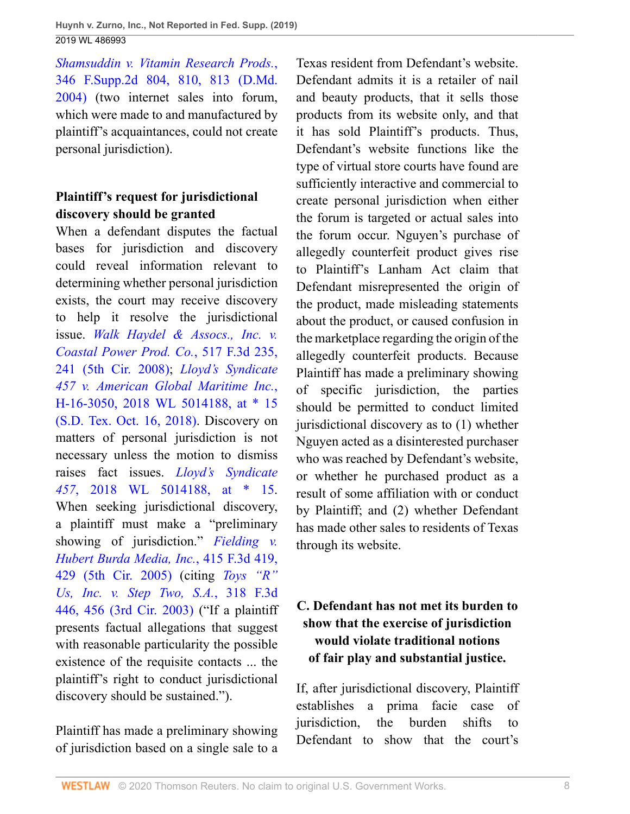*[Shamsuddin v. Vitamin Research Prods.](http://www.westlaw.com/Link/Document/FullText?findType=Y&serNum=2005641054&pubNum=0004637&originatingDoc=I891817902ba011e9bc469b767245e66a&refType=RP&fi=co_pp_sp_4637_810&originationContext=document&vr=3.0&rs=cblt1.0&transitionType=DocumentItem&contextData=(sc.UserEnteredCitation)#co_pp_sp_4637_810)*, [346 F.Supp.2d 804, 810, 813 \(D.Md.](http://www.westlaw.com/Link/Document/FullText?findType=Y&serNum=2005641054&pubNum=0004637&originatingDoc=I891817902ba011e9bc469b767245e66a&refType=RP&fi=co_pp_sp_4637_810&originationContext=document&vr=3.0&rs=cblt1.0&transitionType=DocumentItem&contextData=(sc.UserEnteredCitation)#co_pp_sp_4637_810) [2004\)](http://www.westlaw.com/Link/Document/FullText?findType=Y&serNum=2005641054&pubNum=0004637&originatingDoc=I891817902ba011e9bc469b767245e66a&refType=RP&fi=co_pp_sp_4637_810&originationContext=document&vr=3.0&rs=cblt1.0&transitionType=DocumentItem&contextData=(sc.UserEnteredCitation)#co_pp_sp_4637_810) (two internet sales into forum, which were made to and manufactured by plaintiff's acquaintances, could not create personal jurisdiction).

# **Plaintiff's request for jurisdictional discovery should be granted**

When a defendant disputes the factual bases for jurisdiction and discovery could reveal information relevant to determining whether personal jurisdiction exists, the court may receive discovery to help it resolve the jurisdictional issue. *[Walk Haydel & Assocs., Inc. v.](http://www.westlaw.com/Link/Document/FullText?findType=Y&serNum=2015135760&pubNum=0000506&originatingDoc=I891817902ba011e9bc469b767245e66a&refType=RP&fi=co_pp_sp_506_241&originationContext=document&vr=3.0&rs=cblt1.0&transitionType=DocumentItem&contextData=(sc.UserEnteredCitation)#co_pp_sp_506_241) [Coastal Power Prod. Co.](http://www.westlaw.com/Link/Document/FullText?findType=Y&serNum=2015135760&pubNum=0000506&originatingDoc=I891817902ba011e9bc469b767245e66a&refType=RP&fi=co_pp_sp_506_241&originationContext=document&vr=3.0&rs=cblt1.0&transitionType=DocumentItem&contextData=(sc.UserEnteredCitation)#co_pp_sp_506_241)*, 517 F.3d 235, [241 \(5th Cir. 2008\);](http://www.westlaw.com/Link/Document/FullText?findType=Y&serNum=2015135760&pubNum=0000506&originatingDoc=I891817902ba011e9bc469b767245e66a&refType=RP&fi=co_pp_sp_506_241&originationContext=document&vr=3.0&rs=cblt1.0&transitionType=DocumentItem&contextData=(sc.UserEnteredCitation)#co_pp_sp_506_241) *[Lloyd's Syndicate](http://www.westlaw.com/Link/Document/FullText?findType=Y&serNum=2045779667&pubNum=0000999&originatingDoc=I891817902ba011e9bc469b767245e66a&refType=RP&originationContext=document&vr=3.0&rs=cblt1.0&transitionType=DocumentItem&contextData=(sc.UserEnteredCitation)) [457 v. American Global Maritime Inc.](http://www.westlaw.com/Link/Document/FullText?findType=Y&serNum=2045779667&pubNum=0000999&originatingDoc=I891817902ba011e9bc469b767245e66a&refType=RP&originationContext=document&vr=3.0&rs=cblt1.0&transitionType=DocumentItem&contextData=(sc.UserEnteredCitation))*, [H-16-3050, 2018 WL 5014188, at \\* 15](http://www.westlaw.com/Link/Document/FullText?findType=Y&serNum=2045779667&pubNum=0000999&originatingDoc=I891817902ba011e9bc469b767245e66a&refType=RP&originationContext=document&vr=3.0&rs=cblt1.0&transitionType=DocumentItem&contextData=(sc.UserEnteredCitation)) [\(S.D. Tex. Oct. 16, 2018\)](http://www.westlaw.com/Link/Document/FullText?findType=Y&serNum=2045779667&pubNum=0000999&originatingDoc=I891817902ba011e9bc469b767245e66a&refType=RP&originationContext=document&vr=3.0&rs=cblt1.0&transitionType=DocumentItem&contextData=(sc.UserEnteredCitation)). Discovery on matters of personal jurisdiction is not necessary unless the motion to dismiss raises fact issues. *[Lloyd's Syndicate](http://www.westlaw.com/Link/Document/FullText?findType=Y&serNum=2045779667&pubNum=0000999&originatingDoc=I891817902ba011e9bc469b767245e66a&refType=RP&originationContext=document&vr=3.0&rs=cblt1.0&transitionType=DocumentItem&contextData=(sc.UserEnteredCitation)) 457*[, 2018 WL 5014188, at \\* 15.](http://www.westlaw.com/Link/Document/FullText?findType=Y&serNum=2045779667&pubNum=0000999&originatingDoc=I891817902ba011e9bc469b767245e66a&refType=RP&originationContext=document&vr=3.0&rs=cblt1.0&transitionType=DocumentItem&contextData=(sc.UserEnteredCitation)) When seeking jurisdictional discovery, a plaintiff must make a "preliminary showing of jurisdiction." *[Fielding v.](http://www.westlaw.com/Link/Document/FullText?findType=Y&serNum=2006879154&pubNum=0000506&originatingDoc=I891817902ba011e9bc469b767245e66a&refType=RP&fi=co_pp_sp_506_429&originationContext=document&vr=3.0&rs=cblt1.0&transitionType=DocumentItem&contextData=(sc.UserEnteredCitation)#co_pp_sp_506_429) [Hubert Burda Media, Inc.](http://www.westlaw.com/Link/Document/FullText?findType=Y&serNum=2006879154&pubNum=0000506&originatingDoc=I891817902ba011e9bc469b767245e66a&refType=RP&fi=co_pp_sp_506_429&originationContext=document&vr=3.0&rs=cblt1.0&transitionType=DocumentItem&contextData=(sc.UserEnteredCitation)#co_pp_sp_506_429)*, 415 F.3d 419, [429 \(5th Cir. 2005\)](http://www.westlaw.com/Link/Document/FullText?findType=Y&serNum=2006879154&pubNum=0000506&originatingDoc=I891817902ba011e9bc469b767245e66a&refType=RP&fi=co_pp_sp_506_429&originationContext=document&vr=3.0&rs=cblt1.0&transitionType=DocumentItem&contextData=(sc.UserEnteredCitation)#co_pp_sp_506_429) (citing *[Toys "R"](http://www.westlaw.com/Link/Document/FullText?findType=Y&serNum=2003112355&pubNum=0000506&originatingDoc=I891817902ba011e9bc469b767245e66a&refType=RP&fi=co_pp_sp_506_456&originationContext=document&vr=3.0&rs=cblt1.0&transitionType=DocumentItem&contextData=(sc.UserEnteredCitation)#co_pp_sp_506_456) [Us, Inc. v. Step Two, S.A.](http://www.westlaw.com/Link/Document/FullText?findType=Y&serNum=2003112355&pubNum=0000506&originatingDoc=I891817902ba011e9bc469b767245e66a&refType=RP&fi=co_pp_sp_506_456&originationContext=document&vr=3.0&rs=cblt1.0&transitionType=DocumentItem&contextData=(sc.UserEnteredCitation)#co_pp_sp_506_456)*, 318 F.3d [446, 456 \(3rd Cir. 2003\)](http://www.westlaw.com/Link/Document/FullText?findType=Y&serNum=2003112355&pubNum=0000506&originatingDoc=I891817902ba011e9bc469b767245e66a&refType=RP&fi=co_pp_sp_506_456&originationContext=document&vr=3.0&rs=cblt1.0&transitionType=DocumentItem&contextData=(sc.UserEnteredCitation)#co_pp_sp_506_456) ("If a plaintiff presents factual allegations that suggest with reasonable particularity the possible existence of the requisite contacts ... the plaintiff's right to conduct jurisdictional discovery should be sustained.").

Plaintiff has made a preliminary showing of jurisdiction based on a single sale to a Texas resident from Defendant's website. Defendant admits it is a retailer of nail and beauty products, that it sells those products from its website only, and that it has sold Plaintiff's products. Thus, Defendant's website functions like the type of virtual store courts have found are sufficiently interactive and commercial to create personal jurisdiction when either the forum is targeted or actual sales into the forum occur. Nguyen's purchase of allegedly counterfeit product gives rise to Plaintiff's Lanham Act claim that Defendant misrepresented the origin of the product, made misleading statements about the product, or caused confusion in the marketplace regarding the origin of the allegedly counterfeit products. Because Plaintiff has made a preliminary showing of specific jurisdiction, the parties should be permitted to conduct limited jurisdictional discovery as to (1) whether Nguyen acted as a disinterested purchaser who was reached by Defendant's website, or whether he purchased product as a result of some affiliation with or conduct by Plaintiff; and (2) whether Defendant has made other sales to residents of Texas through its website.

# **C. Defendant has not met its burden to show that the exercise of jurisdiction would violate traditional notions of fair play and substantial justice.**

If, after jurisdictional discovery, Plaintiff establishes a prima facie case of jurisdiction, the burden shifts to Defendant to show that the court's